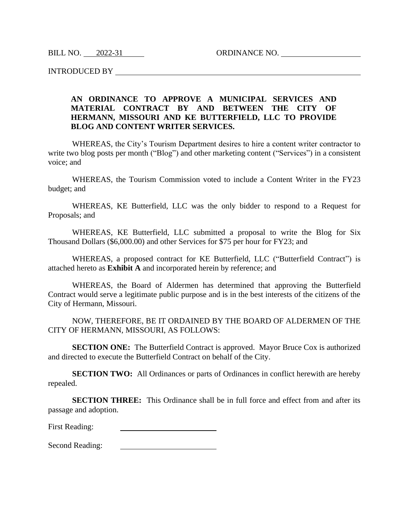BILL NO. 2022-31 ORDINANCE NO.

INTRODUCED BY

## **AN ORDINANCE TO APPROVE A MUNICIPAL SERVICES AND MATERIAL CONTRACT BY AND BETWEEN THE CITY OF HERMANN, MISSOURI AND KE BUTTERFIELD, LLC TO PROVIDE BLOG AND CONTENT WRITER SERVICES.**

WHEREAS, the City's Tourism Department desires to hire a content writer contractor to write two blog posts per month ("Blog") and other marketing content ("Services") in a consistent voice; and

WHEREAS, the Tourism Commission voted to include a Content Writer in the FY23 budget; and

WHEREAS, KE Butterfield, LLC was the only bidder to respond to a Request for Proposals; and

WHEREAS, KE Butterfield, LLC submitted a proposal to write the Blog for Six Thousand Dollars (\$6,000.00) and other Services for \$75 per hour for FY23; and

WHEREAS, a proposed contract for KE Butterfield, LLC ("Butterfield Contract") is attached hereto as **Exhibit A** and incorporated herein by reference; and

WHEREAS, the Board of Aldermen has determined that approving the Butterfield Contract would serve a legitimate public purpose and is in the best interests of the citizens of the City of Hermann, Missouri.

NOW, THEREFORE, BE IT ORDAINED BY THE BOARD OF ALDERMEN OF THE CITY OF HERMANN, MISSOURI, AS FOLLOWS:

**SECTION ONE:** The Butterfield Contract is approved. Mayor Bruce Cox is authorized and directed to execute the Butterfield Contract on behalf of the City.

**SECTION TWO:** All Ordinances or parts of Ordinances in conflict herewith are hereby repealed.

**SECTION THREE:** This Ordinance shall be in full force and effect from and after its passage and adoption.

First Reading:

Second Reading:<u> 1990 - Johann Barbara, martin a</u>